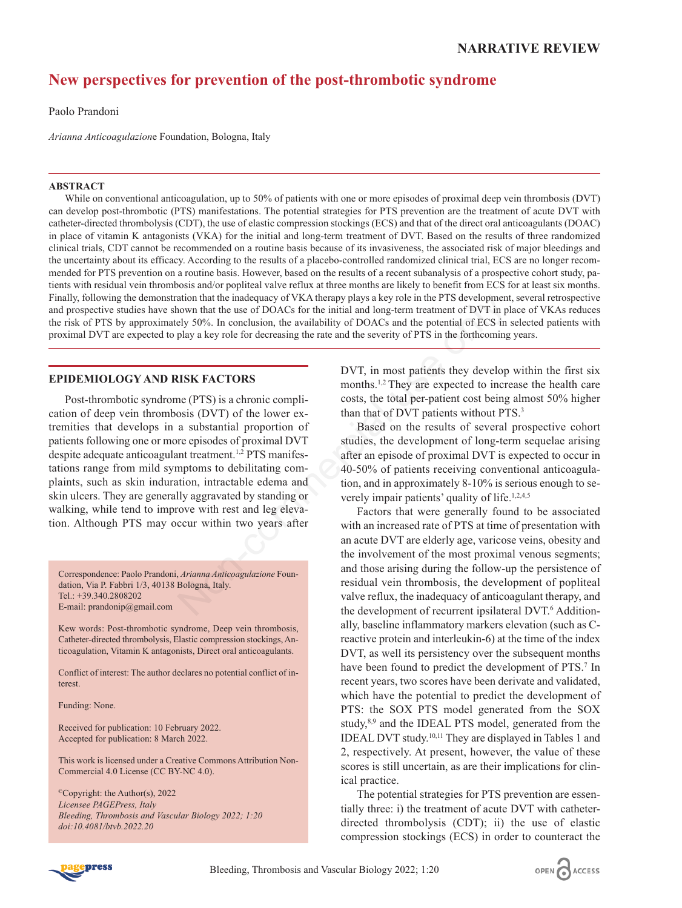# **New perspectives for prevention of the post-thrombotic syndrome**

Paolo Prandoni

*Arianna Anticoagulazion*e Foundation, Bologna, Italy

## **ABSTRACT**

While on conventional anticoagulation, up to 50% of patients with one or more episodes of proximal deep vein thrombosis (DVT) can develop post-thrombotic (PTS) manifestations. The potential strategies for PTS prevention are the treatment of acute DVT with catheter-directed thrombolysis (CDT), the use of elastic compression stockings (ECS) and that of the direct oral anticoagulants (DOAC) in place of vitamin K antagonists (VKA) for the initial and long-term treatment of DVT. Based on the results of three randomized clinical trials, CDT cannot be recommended on a routine basis because of its invasiveness, the associated risk of major bleedings and the uncertainty about its efficacy. According to the results of a placebo-controlled randomized clinical trial, ECS are no longer recommended for PTS prevention on a routine basis. However, based on the results of a recent subanalysis of a prospective cohort study, patients with residual vein thrombosis and/or popliteal valve reflux at three months are likely to benefit from ECS for at least six months. Finally, following the demonstration that the inadequacy of VKA therapy plays a key role in the PTS development, several retrospective and prospective studies have shown that the use of DOACs for the initial and long-term treatment of DVT in place of VKAs reduces the risk of PTS by approximately 50%. In conclusion, the availability of DOACs and the potential of ECS in selected patients with proximal DVT are expected to play a key role for decreasing the rate and the severity of PTS in the forthcoming years.

# **EPIDEMIOLOGY AND RISK FACTORS**

Post-thrombotic syndrome (PTS) is a chronic complication of deep vein thrombosis (DVT) of the lower extremities that develops in a substantial proportion of patients following one or more episodes of proximal DVT despite adequate anticoagulant treatment.<sup>1,2</sup> PTS manifestations range from mild symptoms to debilitating complaints, such as skin induration, intractable edema and skin ulcers. They are generally aggravated by standing or walking, while tend to improve with rest and leg elevation. Although PTS may occur within two years after Moreover that the inadequacy of VKA therapy plays a key role in the PTS development<br>
nown that the use of DOACs for the initial and long-term treatment of DUT in<br>
play 30%. In conclusion, the availability of DOACs and the

Correspondence: Paolo Prandoni, *Arianna Anticoagulazione* Foundation, Via P. Fabbri 1/3, 40138 Bologna, Italy. Tel.: +39.340.2808202 E-mail: prandonip@gmail.com

Kew words: Post-thrombotic syndrome, Deep vein thrombosis, Catheter-directed thrombolysis, Elastic compression stockings, Anticoagulation, Vitamin K antagonists, Direct oral anticoagulants.

Conflict of interest: The author declares no potential conflict of interest.

Funding: None.

Received for publication: 10 February 2022. Accepted for publication: 8 March 2022.

This work is licensed under a Creative Commons Attribution Non-Commercial 4.0 License (CC BY-NC 4.0).

©Copyright: the Author(s), 2022 *Licensee PAGEPress, Italy Bleeding, Thrombosis and Vascular Biology 2022; 1:20 doi:10.4081/btvb.2022.20*

DVT, in most patients they develop within the first six months.1,2 They are expected to increase the health care costs, the total per-patient cost being almost 50% higher than that of DVT patients without PTS.<sup>3</sup>

Based on the results of several prospective cohort studies, the development of long-term sequelae arising after an episode of proximal DVT is expected to occur in 40-50% of patients receiving conventional anticoagulation, and in approximately 8-10% is serious enough to severely impair patients' quality of life.<sup>1,2,4,5</sup>

Factors that were generally found to be associated with an increased rate of PTS at time of presentation with an acute DVT are elderly age, varicose veins, obesity and the involvement of the most proximal venous segments; and those arising during the follow-up the persistence of residual vein thrombosis, the development of popliteal valve reflux, the inadequacy of anticoagulant therapy, and the development of recurrent ipsilateral DVT.<sup>6</sup> Additionally, baseline inflammatory markers elevation (such as Creactive protein and interleukin-6) at the time of the index DVT, as well its persistency over the subsequent months have been found to predict the development of PTS.<sup>7</sup> In recent years, two scores have been derivate and validated, which have the potential to predict the development of PTS: the SOX PTS model generated from the SOX study,<sup>8,9</sup> and the IDEAL PTS model, generated from the IDEAL DVT study.10,11 They are displayed in Tables 1 and 2, respectively. At present, however, the value of these scores is still uncertain, as are their implications for clinical practice.

The potential strategies for PTS prevention are essentially three: i) the treatment of acute DVT with catheterdirected thrombolysis (CDT); ii) the use of elastic compression stockings (ECS) in order to counteract the



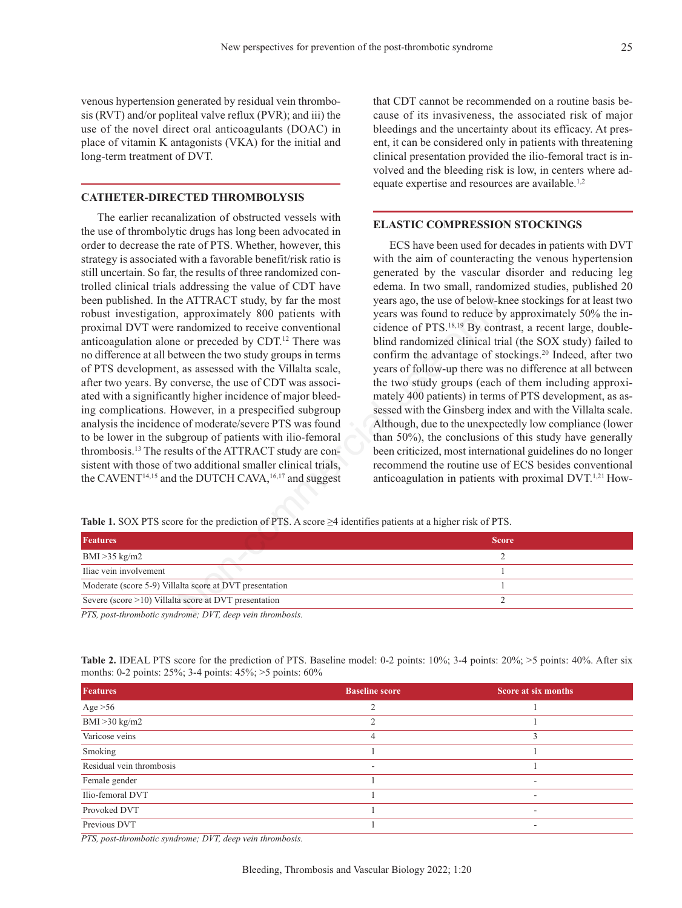venous hypertension generated by residual vein thrombosis (RVT) and/or popliteal valve reflux (PVR); and iii) the use of the novel direct oral anticoagulants (DOAC) in place of vitamin K antagonists (VKA) for the initial and long-term treatment of DVT.

### **CATHETER-DIRECTED THROMBOLYSIS**

The earlier recanalization of obstructed vessels with the use of thrombolytic drugs has long been advocated in order to decrease the rate of PTS. Whether, however, this strategy is associated with a favorable benefit/risk ratio is still uncertain. So far, the results of three randomized controlled clinical trials addressing the value of CDT have been published. In the ATTRACT study, by far the most robust investigation, approximately 800 patients with proximal DVT were randomized to receive conventional anticoagulation alone or preceded by CDT.12 There was no difference at all between the two study groups in terms of PTS development, as assessed with the Villalta scale, after two years. By converse, the use of CDT was associated with a significantly higher incidence of major bleeding complications. However, in a prespecified subgroup analysis the incidence of moderate/severe PTS was found to be lower in the subgroup of patients with ilio-femoral thrombosis.13 The results of the ATTRACT study are consistent with those of two additional smaller clinical trials, the CAVENT $^{14,15}$  and the DUTCH CAVA,  $^{16,17}$  and suggest EVACT study, by far the most<br>
years ago, the use of below-kn<br>
approximately 800 patients with years was found to reduce by<br>
randomized of recive conventional<br>
cidence of PTS.<sup>18.19</sup> By contrival<br>
tive on preceded by CDT.<sup></sup>

that CDT cannot be recommended on a routine basis because of its invasiveness, the associated risk of major bleedings and the uncertainty about its efficacy. At present, it can be considered only in patients with threatening clinical presentation provided the ilio-femoral tract is involved and the bleeding risk is low, in centers where adequate expertise and resources are available.1,2

## **ELASTIC COMPRESSION STOCKINGS**

ECS have been used for decades in patients with DVT with the aim of counteracting the venous hypertension generated by the vascular disorder and reducing leg edema. In two small, randomized studies, published 20 years ago, the use of below-knee stockings for at least two years was found to reduce by approximately 50% the incidence of PTS.18,19 By contrast, a recent large, doubleblind randomized clinical trial (the SOX study) failed to confirm the advantage of stockings.20 Indeed, after two years of follow-up there was no difference at all between the two study groups (each of them including approximately 400 patients) in terms of PTS development, as assessed with the Ginsberg index and with the Villalta scale. Although, due to the unexpectedly low compliance (lower than 50%), the conclusions of this study have generally been criticized, most international guidelines do no longer recommend the routine use of ECS besides conventional anticoagulation in patients with proximal DVT.1,21 How-

**Table 1.** SOX PTS score for the prediction of PTS. A score ≥4 identifies patients at a higher risk of PTS.

| <b>Features</b>                                          | <b>Score</b> |
|----------------------------------------------------------|--------------|
| $BMI > 35$ kg/m2                                         |              |
| Iliac vein involvement                                   |              |
| Moderate (score 5-9) Villalta score at DVT presentation  |              |
| Severe (score $>10$ ) Villalta score at DVT presentation |              |
| $DTC$ and $d$ and $d$ is an $d$ and $TTT$ is an anti-    |              |

*PTS, post-thrombotic syndrome; DVT, deep vein thrombosis.*

|  | <b>Table 2.</b> IDEAL PTS score for the prediction of PTS. Baseline model: 0-2 points: 10%; 3-4 points: 20%; >5 points: 40%. After six |  |  |  |  |
|--|----------------------------------------------------------------------------------------------------------------------------------------|--|--|--|--|
|  | months: 0-2 points: $25\%$ ; 3-4 points: $45\%$ ; >5 points: $60\%$                                                                    |  |  |  |  |

| <b>Features</b>          | <b>Baseline score</b>    | Score at six months      |
|--------------------------|--------------------------|--------------------------|
| Age $>56$                | ∍                        |                          |
| BMI > 30 kg/m2           | ∍                        |                          |
| Varicose veins           |                          |                          |
| Smoking                  |                          |                          |
| Residual vein thrombosis | $\overline{\phantom{a}}$ |                          |
| Female gender            |                          | $\overline{\phantom{a}}$ |
| Ilio-femoral DVT         |                          |                          |
| Provoked DVT             |                          | $\overline{\phantom{a}}$ |
| Previous DVT             |                          | $\overline{\phantom{a}}$ |

*PTS, post-thrombotic syndrome; DVT, deep vein thrombosis.*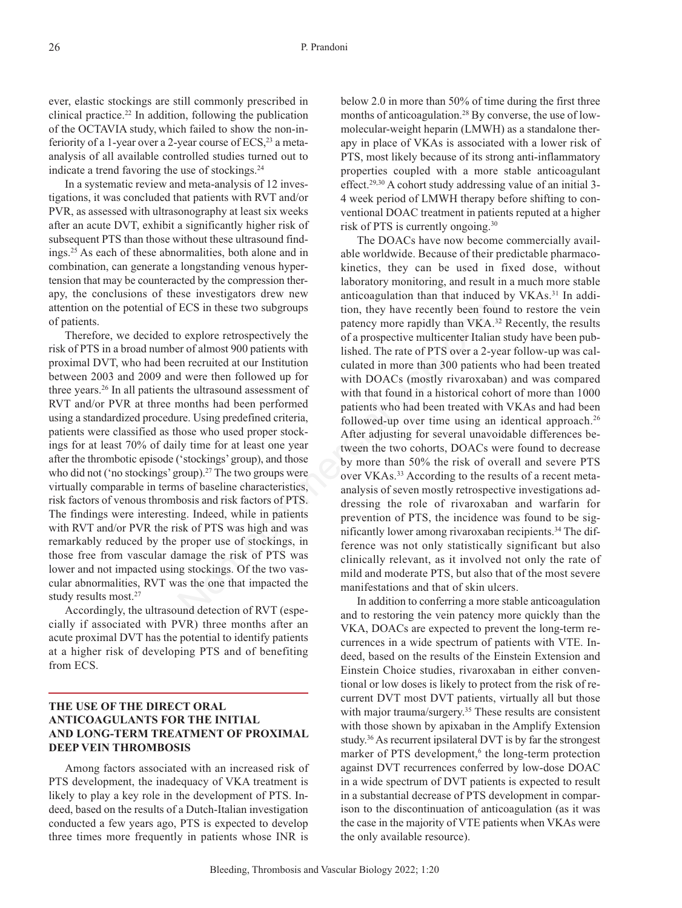ever, elastic stockings are still commonly prescribed in clinical practice.22 In addition, following the publication of the OCTAVIA study, which failed to show the non-inferiority of a 1-year over a 2-year course of  $ECS<sub>3</sub>$ <sup>23</sup> a metaanalysis of all available controlled studies turned out to indicate a trend favoring the use of stockings.<sup>24</sup>

In a systematic review and meta-analysis of 12 investigations, it was concluded that patients with RVT and/or PVR, as assessed with ultrasonography at least six weeks after an acute DVT, exhibit a significantly higher risk of subsequent PTS than those without these ultrasound findings.25 As each of these abnormalities, both alone and in combination, can generate a longstanding venous hypertension that may be counteracted by the compression therapy, the conclusions of these investigators drew new attention on the potential of ECS in these two subgroups of patients.

Therefore, we decided to explore retrospectively the risk of PTS in a broad number of almost 900 patients with proximal DVT, who had been recruited at our Institution between 2003 and 2009 and were then followed up for three years.26 In all patients the ultrasound assessment of RVT and/or PVR at three months had been performed using a standardized procedure. Using predefined criteria, patients were classified as those who used proper stockings for at least 70% of daily time for at least one year after the thrombotic episode ('stockings' group), and those who did not ('no stockings' group).<sup>27</sup> The two groups were virtually comparable in terms of baseline characteristics, risk factors of venous thrombosis and risk factors of PTS. The findings were interesting. Indeed, while in patients with RVT and/or PVR the risk of PTS was high and was remarkably reduced by the proper use of stockings, in those free from vascular damage the risk of PTS was lower and not impacted using stockings. Of the two vascular abnormalities, RVT was the one that impacted the study results most.<sup>27</sup>

Accordingly, the ultrasound detection of RVT (especially if associated with PVR) three months after an acute proximal DVT has the potential to identify patients at a higher risk of developing PTS and of benefiting from ECS.

# **THE USE OF THE DIRECT ORAL ANTICOAGULANTS FOR THE INITIAL AND LONG-TERM TREATMENT OF PROXIMAL DEEP VEIN THROMBOSIS**

Among factors associated with an increased risk of PTS development, the inadequacy of VKA treatment is likely to play a key role in the development of PTS. Indeed, based on the results of a Dutch-Italian investigation conducted a few years ago, PTS is expected to develop three times more frequently in patients whose INR is

below 2.0 in more than 50% of time during the first three months of anticoagulation.28 By converse, the use of lowmolecular-weight heparin (LMWH) as a standalone therapy in place of VKAs is associated with a lower risk of PTS, most likely because of its strong anti-inflammatory properties coupled with a more stable anticoagulant effect.29,30 A cohort study addressing value of an initial 3- 4 week period of LMWH therapy before shifting to conventional DOAC treatment in patients reputed at a higher risk of PTS is currently ongoing.30

The DOACs have now become commercially available worldwide. Because of their predictable pharmacokinetics, they can be used in fixed dose, without laboratory monitoring, and result in a much more stable anticoagulation than that induced by VKAs.<sup>31</sup> In addition, they have recently been found to restore the vein patency more rapidly than VKA.32 Recently, the results of a prospective multicenter Italian study have been published. The rate of PTS over a 2-year follow-up was calculated in more than 300 patients who had been treated with DOACs (mostly rivaroxaban) and was compared with that found in a historical cohort of more than 1000 patients who had been treated with VKAs and had been followed-up over time using an identical approach.<sup>26</sup> After adjusting for several unavoidable differences between the two cohorts, DOACs were found to decrease by more than 50% the risk of overall and severe PTS over VKAs.33 According to the results of a recent metaanalysis of seven mostly retrospective investigations addressing the role of rivaroxaban and warfarin for prevention of PTS, the incidence was found to be significantly lower among rivaroxaban recipients.<sup>34</sup> The difference was not only statistically significant but also clinically relevant, as it involved not only the rate of mild and moderate PTS, but also that of the most severe manifestations and that of skin ulcers. ECS in these two subgroups<br>
ECS in these two subgroups<br>
tion, they have recently been found<br>
patency more rapidly than VKA.<sup>32</sup><br>
or explore retrospectively the<br>
or a prospective multicenter Italian st<br>
and recommend at our

In addition to conferring a more stable anticoagulation and to restoring the vein patency more quickly than the VKA, DOACs are expected to prevent the long-term recurrences in a wide spectrum of patients with VTE. Indeed, based on the results of the Einstein Extension and Einstein Choice studies, rivaroxaban in either conventional or low doses is likely to protect from the risk of recurrent DVT most DVT patients, virtually all but those with major trauma/surgery.<sup>35</sup> These results are consistent with those shown by apixaban in the Amplify Extension study.<sup>36</sup> As recurrent ipsilateral DVT is by far the strongest marker of PTS development,<sup>6</sup> the long-term protection against DVT recurrences conferred by low-dose DOAC in a wide spectrum of DVT patients is expected to result in a substantial decrease of PTS development in comparison to the discontinuation of anticoagulation (as it was the case in the majority of VTE patients when VKAs were the only available resource).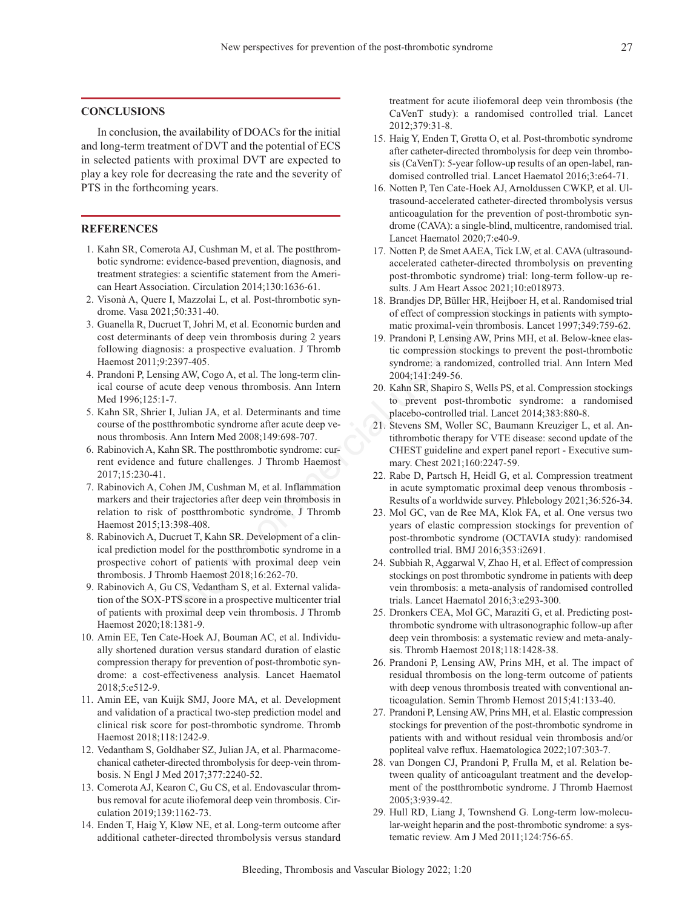## **CONCLUSIONS**

In conclusion, the availability of DOACs for the initial and long-term treatment of DVT and the potential of ECS in selected patients with proximal DVT are expected to play a key role for decreasing the rate and the severity of PTS in the forthcoming years.

## **REFERENCES**

- 1. Kahn SR, Comerota AJ, Cushman M, et al. The postthrombotic syndrome: evidence-based prevention, diagnosis, and treatment strategies: a scientific statement from the American Heart Association. Circulation 2014;130:1636-61.
- 2. Visonà A, Quere I, Mazzolai L, et al. Post-thrombotic syndrome. Vasa 2021;50:331-40.
- 3. Guanella R, Ducruet T, Johri M, et al. Economic burden and cost determinants of deep vein thrombosis during 2 years following diagnosis: a prospective evaluation. J Thromb Haemost 2011;9:2397-405.
- 4. Prandoni P, Lensing AW, Cogo A, et al. The long-term clinical course of acute deep venous thrombosis. Ann Intern Med 1996;125:1-7.
- 5. Kahn SR, Shrier I, Julian JA, et al. Determinants and time course of the postthrombotic syndrome after acute deep venous thrombosis. Ann Intern Med 2008;149:698-707.
- 6. Rabinovich A, Kahn SR. The postthrombotic syndrome: current evidence and future challenges. J Thromb Haemost 2017;15:230-41.
- 7. Rabinovich A, Cohen JM, Cushman M, et al. Inflammation markers and their trajectories after deep vein thrombosis in relation to risk of postthrombotic syndrome. J Thromb Haemost 2015;13:398-408.
- 8. Rabinovich A, Ducruet T, Kahn SR. Development of a clinical prediction model for the postthrombotic syndrome in a prospective cohort of patients with proximal deep vein thrombosis. J Thromb Haemost 2018;16:262-70. Mazzolai L, et al. Post-thrombotic syn-<br>
18. Brandjes DP, Büller HR, Heij<br>
19. 331-40.<br>
19. Dende en and<br>
19. Prandoni P, Lensing AW, Prin<br>
19. Prandoni P, Lensing AW, Prin<br>
19. Prandoni P, Lensing AW, Prin<br>
19. Prandoni P
- 9. Rabinovich A, Gu CS, Vedantham S, et al. External validation of the SOX-PTS score in a prospective multicenter trial of patients with proximal deep vein thrombosis. J Thromb Haemost 2020;18:1381-9.
- 10. Amin EE, Ten Cate-Hoek AJ, Bouman AC, et al. Individually shortened duration versus standard duration of elastic compression therapy for prevention of post-thrombotic syndrome: a cost-effectiveness analysis. Lancet Haematol 2018;5:e512-9.
- 11. Amin EE, van Kuijk SMJ, Joore MA, et al. Development and validation of a practical two-step prediction model and clinical risk score for post-thrombotic syndrome. Thromb Haemost 2018;118:1242-9.
- 12. Vedantham S, Goldhaber SZ, Julian JA, et al. Pharmacomechanical catheter-directed thrombolysis for deep-vein thrombosis. N Engl J Med 2017;377:2240-52.
- 13. Comerota AJ, Kearon C, Gu CS, et al. Endovascular thrombus removal for acute iliofemoral deep vein thrombosis. Circulation 2019;139:1162-73.
- 14. Enden T, Haig Y, Kløw NE, et al. Long-term outcome after additional catheter-directed thrombolysis versus standard

treatment for acute iliofemoral deep vein thrombosis (the CaVenT study): a randomised controlled trial. Lancet 2012;379:31-8.

- 15. Haig Y, Enden T, Grøtta O, et al. Post-thrombotic syndrome after catheter-directed thrombolysis for deep vein thrombosis (CaVenT): 5-year follow-up results of an open-label, randomised controlled trial. Lancet Haematol 2016;3:e64-71.
- 16. Notten P, Ten Cate-Hoek AJ, Arnoldussen CWKP, et al. Ultrasound-accelerated catheter-directed thrombolysis versus anticoagulation for the prevention of post-thrombotic syndrome (CAVA): a single-blind, multicentre, randomised trial. Lancet Haematol 2020;7:e40-9.
- 17. Notten P, de Smet AAEA, Tick LW, et al. CAVA (ultrasoundaccelerated catheter-directed thrombolysis on preventing post-thrombotic syndrome) trial: long-term follow-up results. J Am Heart Assoc 2021;10:e018973.
- 18. Brandjes DP, Büller HR, Heijboer H, et al. Randomised trial of effect of compression stockings in patients with symptomatic proximal-vein thrombosis. Lancet 1997;349:759-62.
- 19. Prandoni P, Lensing AW, Prins MH, et al. Below-knee elastic compression stockings to prevent the post-thrombotic syndrome: a randomized, controlled trial. Ann Intern Med 2004;141:249-56.
- 20. Kahn SR, Shapiro S, Wells PS, et al. Compression stockings to prevent post-thrombotic syndrome: a randomised placebo-controlled trial. Lancet 2014;383:880-8.
- 21. Stevens SM, Woller SC, Baumann Kreuziger L, et al. Antithrombotic therapy for VTE disease: second update of the CHEST guideline and expert panel report - Executive summary. Chest 2021;160:2247-59.
- 22. Rabe D, Partsch H, Heidl G, et al. Compression treatment in acute symptomatic proximal deep venous thrombosis - Results of a worldwide survey. Phlebology 2021;36:526-34.
- 23. Mol GC, van de Ree MA, Klok FA, et al. One versus two years of elastic compression stockings for prevention of post-thrombotic syndrome (OCTAVIA study): randomised controlled trial. BMJ 2016;353:i2691.
- 24. Subbiah R, Aggarwal V, Zhao H, et al. Effect of compression stockings on post thrombotic syndrome in patients with deep vein thrombosis: a meta-analysis of randomised controlled trials. Lancet Haematol 2016;3:e293-300.
- 25. Dronkers CEA, Mol GC, Maraziti G, et al. Predicting postthrombotic syndrome with ultrasonographic follow-up after deep vein thrombosis: a systematic review and meta-analysis. Thromb Haemost 2018;118:1428-38.
- 26. Prandoni P, Lensing AW, Prins MH, et al. The impact of residual thrombosis on the long-term outcome of patients with deep venous thrombosis treated with conventional anticoagulation. Semin Thromb Hemost 2015;41:133-40.
- 27. Prandoni P, Lensing AW, Prins MH, et al. Elastic compression stockings for prevention of the post-thrombotic syndrome in patients with and without residual vein thrombosis and/or popliteal valve reflux. Haematologica 2022;107:303-7.
- 28. van Dongen CJ, Prandoni P, Frulla M, et al. Relation between quality of anticoagulant treatment and the development of the postthrombotic syndrome. J Thromb Haemost 2005;3:939-42.
- 29. Hull RD, Liang J, Townshend G. Long-term low-molecular-weight heparin and the post-thrombotic syndrome: a systematic review. Am J Med 2011;124:756-65.